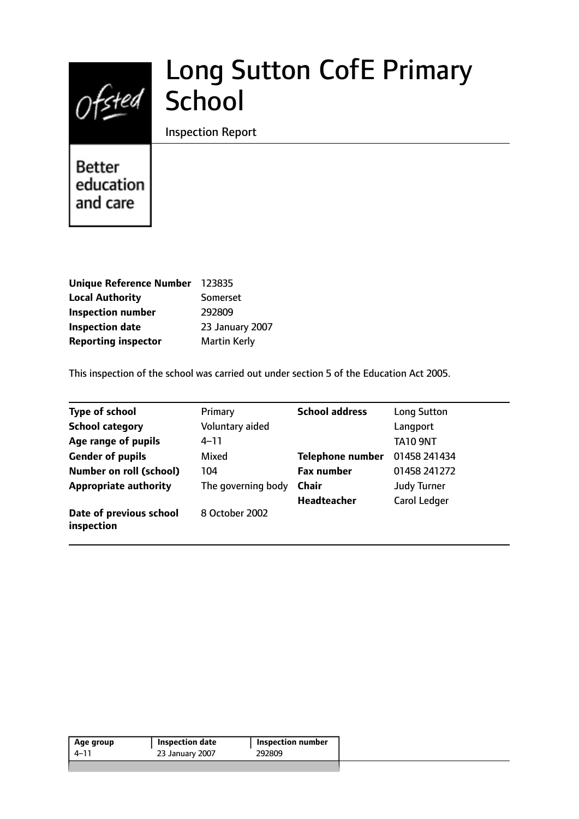# Long Sutton CofE Primary Ofsted School

#### Inspection Report

Better education and care

| <b>Unique Reference Number</b> | 123835              |
|--------------------------------|---------------------|
| <b>Local Authority</b>         | <b>Somerset</b>     |
| <b>Inspection number</b>       | 292809              |
| <b>Inspection date</b>         | 23 January 2007     |
| <b>Reporting inspector</b>     | <b>Martin Kerly</b> |

This inspection of the school was carried out under section 5 of the Education Act 2005.

| <b>Type of school</b>                 | Primary            | <b>School address</b>   | <b>Long Sutton</b>  |
|---------------------------------------|--------------------|-------------------------|---------------------|
| <b>School category</b>                | Voluntary aided    |                         | Langport            |
| Age range of pupils                   | $4 - 11$           |                         | <b>TA10 9NT</b>     |
| <b>Gender of pupils</b>               | Mixed              | <b>Telephone number</b> | 01458 241434        |
| <b>Number on roll (school)</b>        | 104                | <b>Fax number</b>       | 01458 241272        |
| <b>Appropriate authority</b>          | The governing body | <b>Chair</b>            | <b>Judy Turner</b>  |
|                                       |                    | <b>Headteacher</b>      | <b>Carol Ledger</b> |
| Date of previous school<br>inspection | 8 October 2002     |                         |                     |

| Age group | <b>Inspection date</b> | <b>Inspection number</b> |
|-----------|------------------------|--------------------------|
| 4–11      | 23 January 2007        | 292809                   |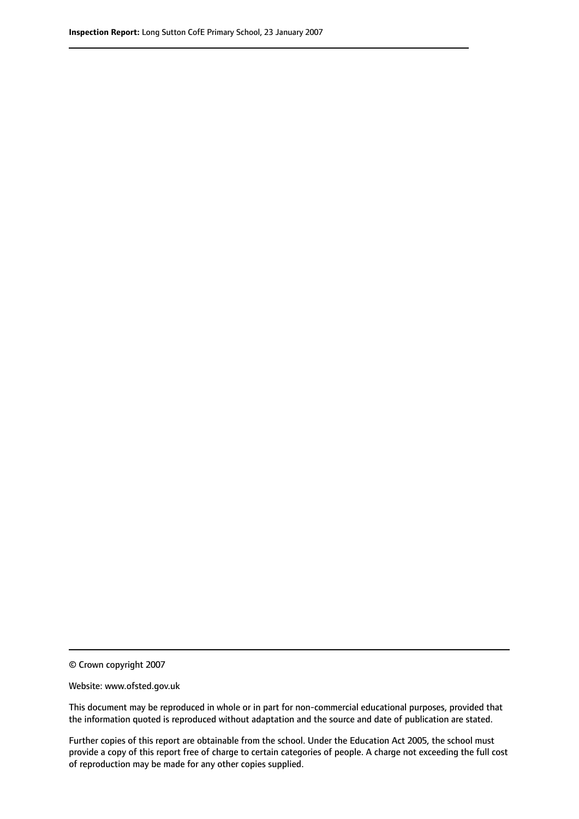© Crown copyright 2007

Website: www.ofsted.gov.uk

This document may be reproduced in whole or in part for non-commercial educational purposes, provided that the information quoted is reproduced without adaptation and the source and date of publication are stated.

Further copies of this report are obtainable from the school. Under the Education Act 2005, the school must provide a copy of this report free of charge to certain categories of people. A charge not exceeding the full cost of reproduction may be made for any other copies supplied.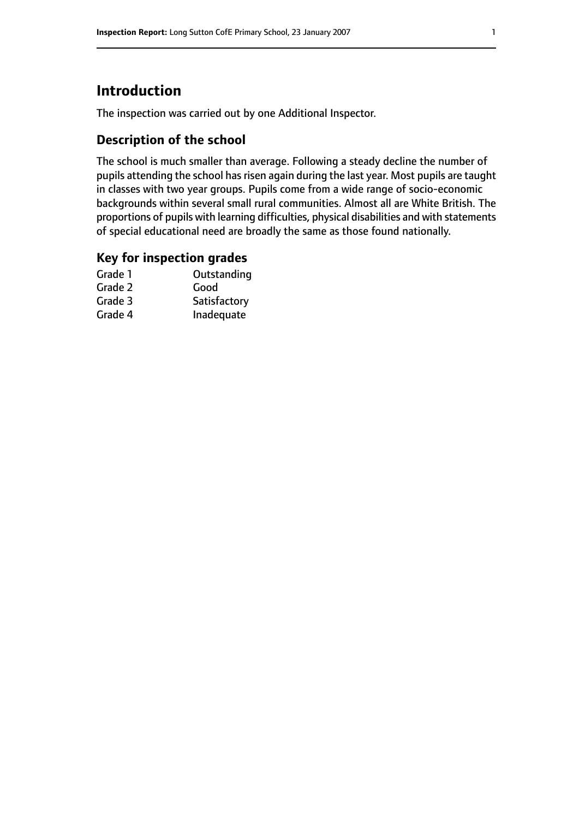# **Introduction**

The inspection was carried out by one Additional Inspector.

## **Description of the school**

The school is much smaller than average. Following a steady decline the number of pupils attending the school has risen again during the last year. Most pupils are taught in classes with two year groups. Pupils come from a wide range of socio-economic backgrounds within several small rural communities. Almost all are White British. The proportions of pupils with learning difficulties, physical disabilities and with statements of special educational need are broadly the same as those found nationally.

#### **Key for inspection grades**

| Grade 1 | Outstanding  |
|---------|--------------|
| Grade 2 | Good         |
| Grade 3 | Satisfactory |
| Grade 4 | Inadequate   |
|         |              |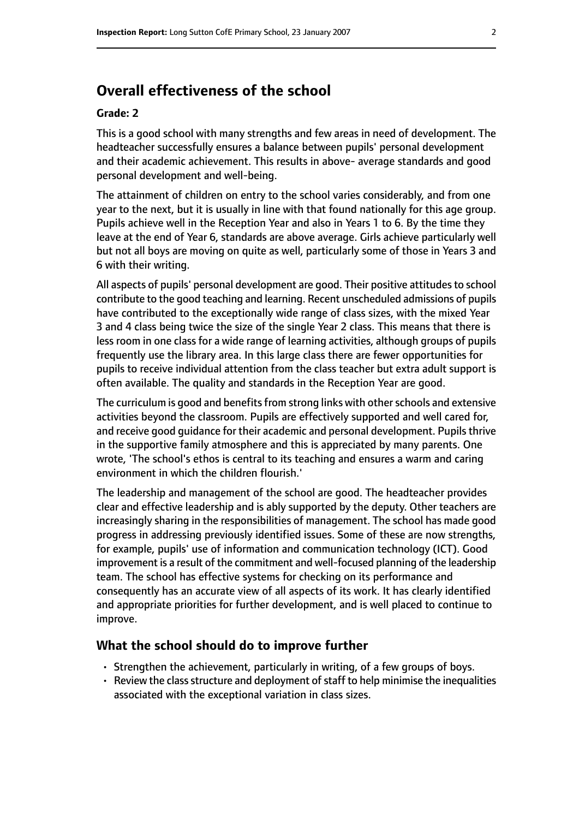# **Overall effectiveness of the school**

#### **Grade: 2**

This is a good school with many strengths and few areas in need of development. The headteacher successfully ensures a balance between pupils' personal development and their academic achievement. This results in above- average standards and good personal development and well-being.

The attainment of children on entry to the school varies considerably, and from one year to the next, but it is usually in line with that found nationally for this age group. Pupils achieve well in the Reception Year and also in Years 1 to 6. By the time they leave at the end of Year 6, standards are above average. Girls achieve particularly well but not all boys are moving on quite as well, particularly some of those in Years 3 and 6 with their writing.

All aspects of pupils' personal development are good. Their positive attitudes to school contribute to the good teaching and learning. Recent unscheduled admissions of pupils have contributed to the exceptionally wide range of class sizes, with the mixed Year 3 and 4 class being twice the size of the single Year 2 class. This means that there is less room in one class for a wide range of learning activities, although groups of pupils frequently use the library area. In this large class there are fewer opportunities for pupils to receive individual attention from the class teacher but extra adult support is often available. The quality and standards in the Reception Year are good.

The curriculum is good and benefits from strong links with other schools and extensive activities beyond the classroom. Pupils are effectively supported and well cared for, and receive good guidance for their academic and personal development. Pupils thrive in the supportive family atmosphere and this is appreciated by many parents. One wrote, 'The school's ethos is central to its teaching and ensures a warm and caring environment in which the children flourish.'

The leadership and management of the school are good. The headteacher provides clear and effective leadership and is ably supported by the deputy. Other teachers are increasingly sharing in the responsibilities of management. The school has made good progress in addressing previously identified issues. Some of these are now strengths, for example, pupils' use of information and communication technology (ICT). Good improvement is a result of the commitment and well-focused planning of the leadership team. The school has effective systems for checking on its performance and consequently has an accurate view of all aspects of its work. It has clearly identified and appropriate priorities for further development, and is well placed to continue to improve.

#### **What the school should do to improve further**

- Strengthen the achievement, particularly in writing, of a few groups of boys.
- $\cdot$  Review the class structure and deployment of staff to help minimise the inequalities associated with the exceptional variation in class sizes.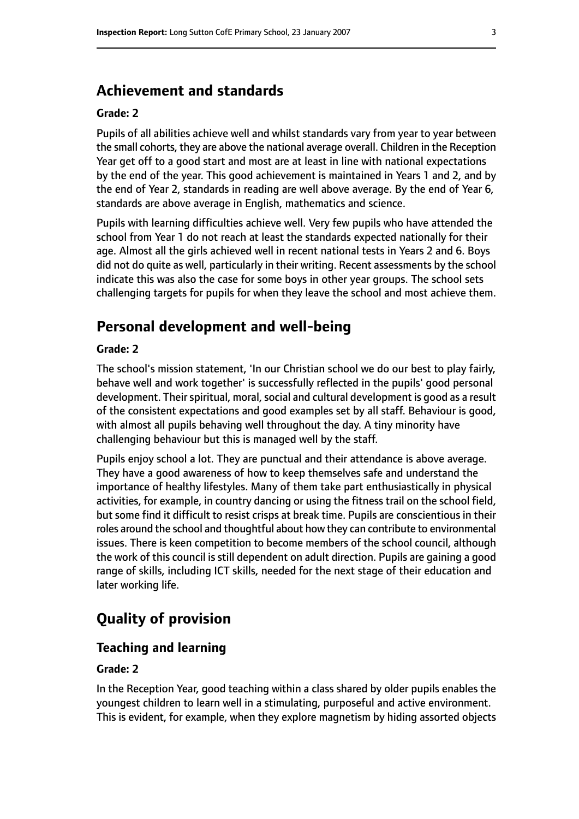## **Achievement and standards**

#### **Grade: 2**

Pupils of all abilities achieve well and whilst standards vary from year to year between the small cohorts, they are above the national average overall. Children in the Reception Year get off to a good start and most are at least in line with national expectations by the end of the year. This good achievement is maintained in Years 1 and 2, and by the end of Year 2, standards in reading are well above average. By the end of Year 6, standards are above average in English, mathematics and science.

Pupils with learning difficulties achieve well. Very few pupils who have attended the school from Year 1 do not reach at least the standards expected nationally for their age. Almost all the girls achieved well in recent national tests in Years 2 and 6. Boys did not do quite as well, particularly in their writing. Recent assessments by the school indicate this was also the case for some boys in other year groups. The school sets challenging targets for pupils for when they leave the school and most achieve them.

# **Personal development and well-being**

#### **Grade: 2**

The school's mission statement, 'In our Christian school we do our best to play fairly, behave well and work together' is successfully reflected in the pupils' good personal development. Their spiritual, moral, social and cultural development is good as a result of the consistent expectations and good examples set by all staff. Behaviour is good, with almost all pupils behaving well throughout the day. A tiny minority have challenging behaviour but this is managed well by the staff.

Pupils enjoy school a lot. They are punctual and their attendance is above average. They have a good awareness of how to keep themselves safe and understand the importance of healthy lifestyles. Many of them take part enthusiastically in physical activities, for example, in country dancing or using the fitness trail on the school field, but some find it difficult to resist crisps at break time. Pupils are conscientious in their roles around the school and thoughtful about how they can contribute to environmental issues. There is keen competition to become members of the school council, although the work of this council is still dependent on adult direction. Pupils are gaining a good range of skills, including ICT skills, needed for the next stage of their education and later working life.

# **Quality of provision**

#### **Teaching and learning**

#### **Grade: 2**

In the Reception Year, good teaching within a class shared by older pupils enables the youngest children to learn well in a stimulating, purposeful and active environment. This is evident, for example, when they explore magnetism by hiding assorted objects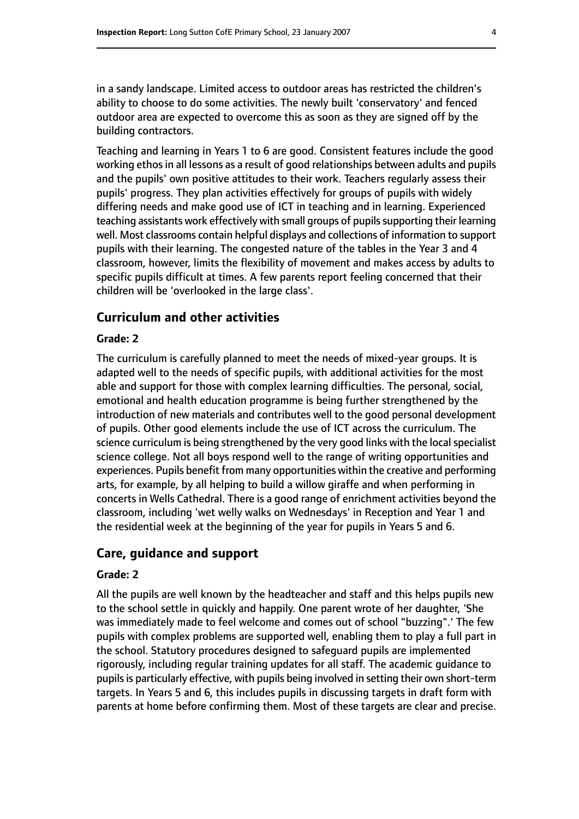in a sandy landscape. Limited access to outdoor areas has restricted the children's ability to choose to do some activities. The newly built 'conservatory' and fenced outdoor area are expected to overcome this as soon as they are signed off by the building contractors.

Teaching and learning in Years 1 to 6 are good. Consistent features include the good working ethos in all lessons as a result of good relationships between adults and pupils and the pupils' own positive attitudes to their work. Teachers regularly assess their pupils' progress. They plan activities effectively for groups of pupils with widely differing needs and make good use of ICT in teaching and in learning. Experienced teaching assistants work effectively with small groups of pupils supporting their learning well. Most classrooms contain helpful displays and collections of information to support pupils with their learning. The congested nature of the tables in the Year 3 and 4 classroom, however, limits the flexibility of movement and makes access by adults to specific pupils difficult at times. A few parents report feeling concerned that their children will be 'overlooked in the large class'.

#### **Curriculum and other activities**

#### **Grade: 2**

The curriculum is carefully planned to meet the needs of mixed-year groups. It is adapted well to the needs of specific pupils, with additional activities for the most able and support for those with complex learning difficulties. The personal, social, emotional and health education programme is being further strengthened by the introduction of new materials and contributes well to the good personal development of pupils. Other good elements include the use of ICT across the curriculum. The science curriculum is being strengthened by the very good links with the local specialist science college. Not all boys respond well to the range of writing opportunities and experiences. Pupils benefit from many opportunities within the creative and performing arts, for example, by all helping to build a willow giraffe and when performing in concerts in Wells Cathedral. There is a good range of enrichment activities beyond the classroom, including 'wet welly walks on Wednesdays' in Reception and Year 1 and the residential week at the beginning of the year for pupils in Years 5 and 6.

#### **Care, guidance and support**

#### **Grade: 2**

All the pupils are well known by the headteacher and staff and this helps pupils new to the school settle in quickly and happily. One parent wrote of her daughter, 'She was immediately made to feel welcome and comes out of school "buzzing".' The few pupils with complex problems are supported well, enabling them to play a full part in the school. Statutory procedures designed to safeguard pupils are implemented rigorously, including regular training updates for all staff. The academic guidance to pupils is particularly effective, with pupils being involved in setting their own short-term targets. In Years 5 and 6, this includes pupils in discussing targets in draft form with parents at home before confirming them. Most of these targets are clear and precise.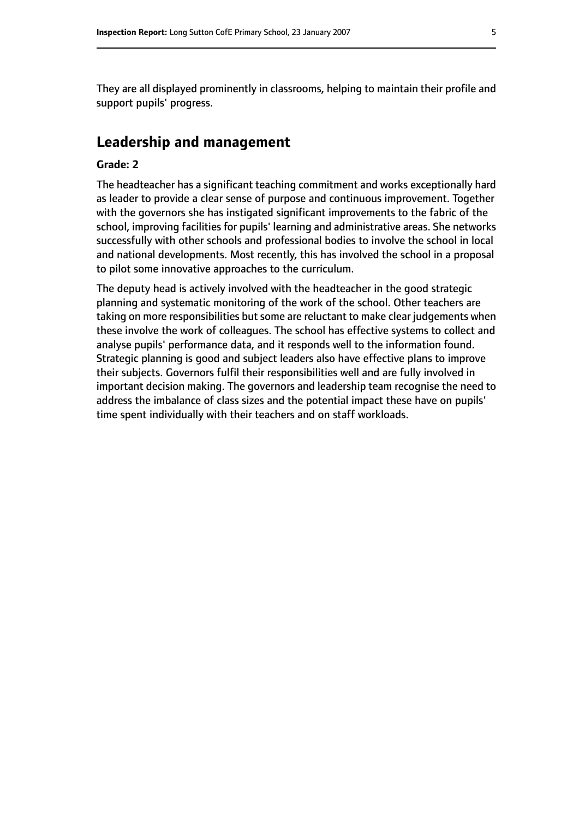They are all displayed prominently in classrooms, helping to maintain their profile and support pupils' progress.

## **Leadership and management**

#### **Grade: 2**

The headteacher has a significant teaching commitment and works exceptionally hard as leader to provide a clear sense of purpose and continuous improvement. Together with the governors she has instigated significant improvements to the fabric of the school, improving facilities for pupils' learning and administrative areas. She networks successfully with other schools and professional bodies to involve the school in local and national developments. Most recently, this has involved the school in a proposal to pilot some innovative approaches to the curriculum.

The deputy head is actively involved with the headteacher in the good strategic planning and systematic monitoring of the work of the school. Other teachers are taking on more responsibilities but some are reluctant to make clear judgements when these involve the work of colleagues. The school has effective systems to collect and analyse pupils' performance data, and it responds well to the information found. Strategic planning is good and subject leaders also have effective plans to improve their subjects. Governors fulfil their responsibilities well and are fully involved in important decision making. The governors and leadership team recognise the need to address the imbalance of class sizes and the potential impact these have on pupils' time spent individually with their teachers and on staff workloads.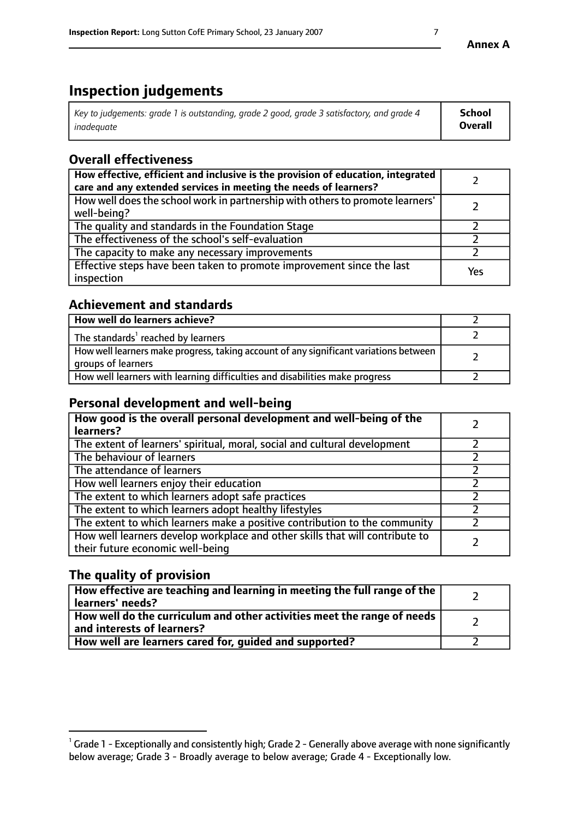# **Inspection judgements**

| Key to judgements: grade 1 is outstanding, grade 2 good, grade 3 satisfactory, and grade 4 | <b>School</b>  |
|--------------------------------------------------------------------------------------------|----------------|
| inadeauate                                                                                 | <b>Overall</b> |

# **Overall effectiveness**

| How effective, efficient and inclusive is the provision of education, integrated<br>care and any extended services in meeting the needs of learners? |     |
|------------------------------------------------------------------------------------------------------------------------------------------------------|-----|
| How well does the school work in partnership with others to promote learners'<br>well-being?                                                         |     |
| The quality and standards in the Foundation Stage                                                                                                    |     |
| The effectiveness of the school's self-evaluation                                                                                                    |     |
| The capacity to make any necessary improvements                                                                                                      |     |
| Effective steps have been taken to promote improvement since the last<br>inspection                                                                  | Yes |

## **Achievement and standards**

| How well do learners achieve?                                                                               |  |
|-------------------------------------------------------------------------------------------------------------|--|
| The standards <sup>1</sup> reached by learners                                                              |  |
| How well learners make progress, taking account of any significant variations between<br>groups of learners |  |
| How well learners with learning difficulties and disabilities make progress                                 |  |

## **Personal development and well-being**

| How good is the overall personal development and well-being of the<br>learners?                                  |  |
|------------------------------------------------------------------------------------------------------------------|--|
| The extent of learners' spiritual, moral, social and cultural development                                        |  |
| The behaviour of learners                                                                                        |  |
| The attendance of learners                                                                                       |  |
| How well learners enjoy their education                                                                          |  |
| The extent to which learners adopt safe practices                                                                |  |
| The extent to which learners adopt healthy lifestyles                                                            |  |
| The extent to which learners make a positive contribution to the community                                       |  |
| How well learners develop workplace and other skills that will contribute to<br>their future economic well-being |  |

## **The quality of provision**

| How effective are teaching and learning in meeting the full range of the<br>learners' needs?          |  |
|-------------------------------------------------------------------------------------------------------|--|
| How well do the curriculum and other activities meet the range of needs<br>and interests of learners? |  |
| How well are learners cared for, guided and supported?                                                |  |

 $^1$  Grade 1 - Exceptionally and consistently high; Grade 2 - Generally above average with none significantly below average; Grade 3 - Broadly average to below average; Grade 4 - Exceptionally low.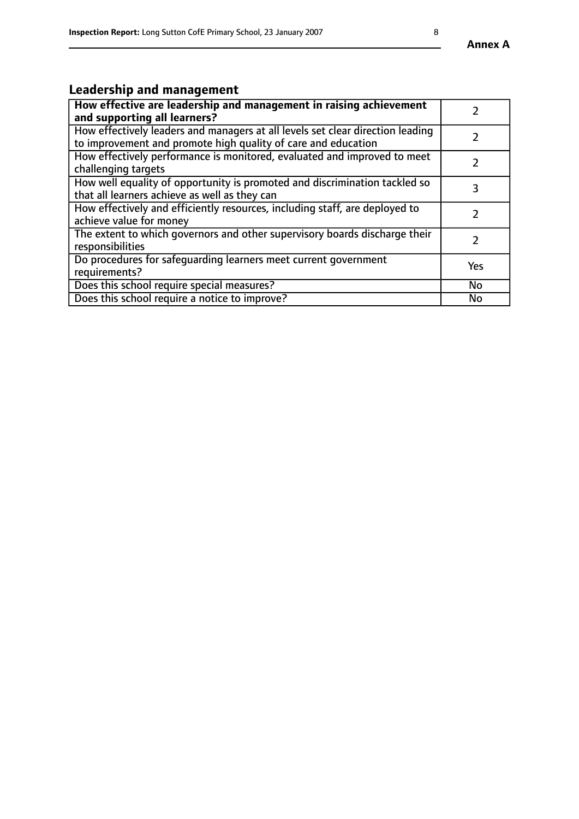# **Leadership and management**

| How effective are leadership and management in raising achievement<br>and supporting all learners?                                              |               |
|-------------------------------------------------------------------------------------------------------------------------------------------------|---------------|
| How effectively leaders and managers at all levels set clear direction leading<br>to improvement and promote high quality of care and education |               |
| How effectively performance is monitored, evaluated and improved to meet<br>challenging targets                                                 | $\mathcal{L}$ |
| How well equality of opportunity is promoted and discrimination tackled so<br>that all learners achieve as well as they can                     | 3             |
| How effectively and efficiently resources, including staff, are deployed to<br>achieve value for money                                          | $\mathcal{P}$ |
| The extent to which governors and other supervisory boards discharge their<br>responsibilities                                                  |               |
| Do procedures for safequarding learners meet current government<br>requirements?                                                                | Yes           |
| Does this school require special measures?                                                                                                      | No            |
| Does this school require a notice to improve?                                                                                                   | <b>No</b>     |